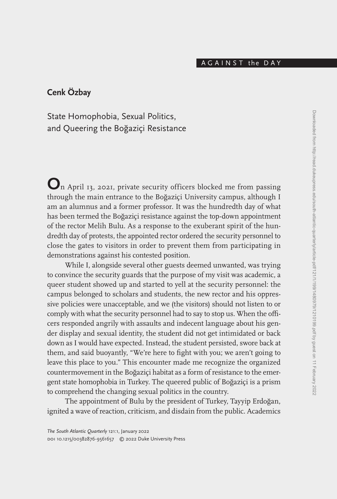## A G A I N S T the D A Y

# **Cenk Özbay**

State Homophobia, Sexual Politics, and Queering the Boğaziçi Resistance

**O**n April 13, 2021, private security officers blocked me from passing through the main entrance to the Boğaziçi University campus, although I am an alumnus and a former professor. It was the hundredth day of what has been termed the Boğaziçi resistance against the top-down appointment of the rector Melih Bulu. As a response to the exuberant spirit of the hundredth day of protests, the appointed rector ordered the security personnel to close the gates to visitors in order to prevent them from participating in demonstrations against his contested position.

While I, alongside several other guests deemed unwanted, was trying to convince the security guards that the purpose of my visit was academic, a queer student showed up and started to yell at the security personnel: the campus belonged to scholars and students, the new rector and his oppressive policies were unacceptable, and we (the visitors) should not listen to or comply with what the security personnel had to say to stop us. When the officers responded angrily with assaults and indecent language about his gender display and sexual identity, the student did not get intimidated or back down as I would have expected. Instead, the student persisted, swore back at them, and said buoyantly, "We're here to fight with you; we aren't going to leave this place to you." This encounter made me recognize the organized countermovement in the Boğaziçi habitat as a form of resistance to the emergent state homophobia in Turkey. The queered public of Boğaziçi is a prism to comprehend the changing sexual politics in the country.

The appointment of Bulu by the president of Turkey, Tayyip Erdoğan, ignited a wave of reaction, criticism, and disdain from the public. Academics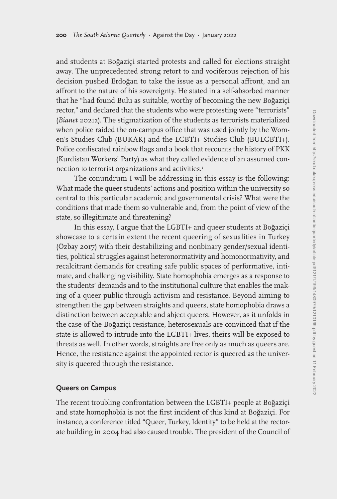and students at Boğaziçi started protests and called for elections straight away. The unprecedented strong retort to and vociferous rejection of his decision pushed Erdoğan to take the issue as a personal affront, and an affront to the nature of his sovereignty. He stated in a self-absorbed manner that he "had found Bulu as suitable, worthy of becoming the new Boğaziçi rector," and declared that the students who were protesting were "terrorists" (*Bianet* 2021a). The stigmatization of the students as terrorists materialized when police raided the on-campus office that was used jointly by the Women's Studies Club (BUKAK) and the LGBTI+ Studies Club (BULGBTI+). Police confiscated rainbow flags and a book that recounts the history of PKK (Kurdistan Workers' Party) as what they called evidence of an assumed connection to terrorist organizations and activities.<sup>1</sup>

The conundrum I will be addressing in this essay is the following: What made the queer students' actions and position within the university so central to this particular academic and governmental crisis? What were the conditions that made them so vulnerable and, from the point of view of the state, so illegitimate and threatening?

In this essay, I argue that the LGBTI+ and queer students at Boğaziçi showcase to a certain extent the recent queering of sexualities in Turkey (Özbay 2017) with their destabilizing and nonbinary gender/sexual identities, political struggles against heteronormativity and homonormativity, and recalcitrant demands for creating safe public spaces of performative, intimate, and challenging visibility. State homophobia emerges as a response to the students' demands and to the institutional culture that enables the making of a queer public through activism and resistance. Beyond aiming to strengthen the gap between straights and queers, state homophobia draws a distinction between acceptable and abject queers. However, as it unfolds in the case of the Boğaziçi resistance, heterosexuals are convinced that if the state is allowed to intrude into the LGBTI+ lives, theirs will be exposed to threats as well. In other words, straights are free only as much as queers are. Hence, the resistance against the appointed rector is queered as the university is queered through the resistance.

### **Queers on Campus**

The recent troubling confrontation between the LGBTI+ people at Boğaziçi and state homophobia is not the first incident of this kind at Boğaziçi. For instance, a conference titled "Queer, Turkey, Identity" to be held at the rectorate building in 2004 had also caused trouble. The president of the Council of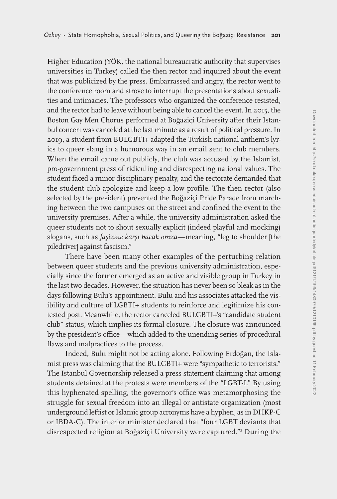Higher Education (YÖK, the national bureaucratic authority that supervises universities in Turkey) called the then rector and inquired about the event that was publicized by the press. Embarrassed and angry, the rector went to the conference room and strove to interrupt the presentations about sexualities and intimacies. The professors who organized the conference resisted, and the rector had to leave without being able to cancel the event. In 2015, the Boston Gay Men Chorus performed at Boğaziçi University after their Istanbul concert was canceled at the last minute as a result of political pressure. In 2019, a student from BULGBTI+ adapted the Turkish national anthem's lyrics to queer slang in a humorous way in an email sent to club members. When the email came out publicly, the club was accused by the Islamist, pro-government press of ridiculing and disrespecting national values. The student faced a minor disciplinary penalty, and the rectorate demanded that the student club apologize and keep a low profile. The then rector (also selected by the president) prevented the Boğaziçi Pride Parade from marching between the two campuses on the street and confined the event to the university premises. After a while, the university administration asked the queer students not to shout sexually explicit (indeed playful and mocking) slogans, such as *faşizme karşı bacak omza*—meaning, "leg to shoulder [the piledriver] against fascism."

There have been many other examples of the perturbing relation between queer students and the previous university administration, especially since the former emerged as an active and visible group in Turkey in the last two decades. However, the situation has never been so bleak as in the days following Bulu's appointment. Bulu and his associates attacked the visibility and culture of LGBTI+ students to reinforce and legitimize his contested post. Meanwhile, the rector canceled BULGBTI+'s "candidate student club" status, which implies its formal closure. The closure was announced by the president's office—which added to the unending series of procedural flaws and malpractices to the process.

Indeed, Bulu might not be acting alone. Following Erdoğan, the Islamist press was claiming that the BULGBTI+ were "sympathetic to terrorists." The Istanbul Governorship released a press statement claiming that among students detained at the protests were members of the "LGBT-I." By using this hyphenated spelling, the governor's office was metamorphosing the struggle for sexual freedom into an illegal or antistate organization (most underground leftist or Islamic group acronyms have a hyphen, as in DHKP-C or IBDA-C). The interior minister declared that "four LGBT deviants that disrespected religion at Boğaziçi University were captured."2 During the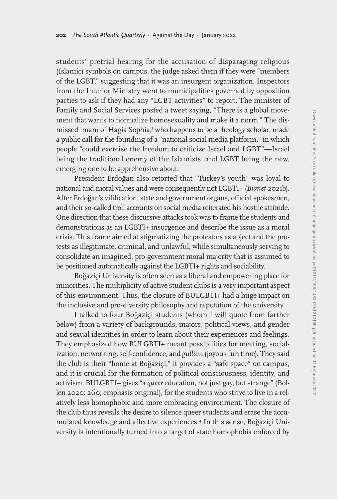students' pretrial hearing for the accusation of disparaging religious (Islamic) symbols on campus, the judge asked them if they were "members of the LGBT," suggesting that it was an insurgent organization. Inspectors from the Interior Ministry went to municipalities governed by opposition parties to ask if they had any "LGBT activities" to report. The minister of Family and Social Services posted a tweet saying, "There is a global movement that wants to normalize homosexuality and make it a norm." The dismissed imam of Hagia Sophia,<sup>3</sup> who happens to be a theology scholar, made a public call for the founding of a "national social media platform," in which people "could exercise the freedom to criticize Israel and LGBT"—Israel being the traditional enemy of the Islamists, and LGBT being the new, emerging one to be apprehensive about.

President Erdoğan also retorted that "Turkey's youth" was loyal to national and moral values and were consequently not LGBTI+ (*Bianet* 2021b). After Erdoğan's vilification, state and government organs, official spokesmen, and their so-called troll accounts on social media reiterated his hostile attitude. One direction that these discursive attacks took was to frame the students and demonstrations as an LGBTI+ insurgence and describe the issue as a moral crisis. This frame aimed at stigmatizing the protestors as abject and the protests as illegitimate, criminal, and unlawful, while simultaneously serving to consolidate an imagined, pro-government moral majority that is assumed to be positioned automatically against the LGBTI+ rights and sociability.

Boğaziçi University is often seen as a liberal and empowering place for minorities. The multiplicity of active student clubs is a very important aspect of this environment. Thus, the closure of BULGBTI+ had a huge impact on the inclusive and pro-diversity philosophy and reputation of the university.

I talked to four Boğaziçi students (whom I will quote from farther below) from a variety of backgrounds, majors, political views, and gender and sexual identities in order to learn about their experiences and feelings. They emphasized how BULGBTI+ meant possibilities for meeting, socialization, networking, self-confidence, and *gullüm* (joyous fun time). They said the club is their "home at Boğaziçi," it provides a "safe space" on campus, and it is crucial for the formation of political consciousness, identity, and activism. BULGBTI+ gives "a *queer* education, not just gay, but strange" (Bollen 2020: 260; emphasis original), for the students who strive to live in a relatively less homophobic and more embracing environment. The closure of the club thus reveals the desire to silence queer students and erase the accumulated knowledge and affective experiences.4 In this sense, Boğaziçi University is intentionally turned into a target of state homophobia enforced by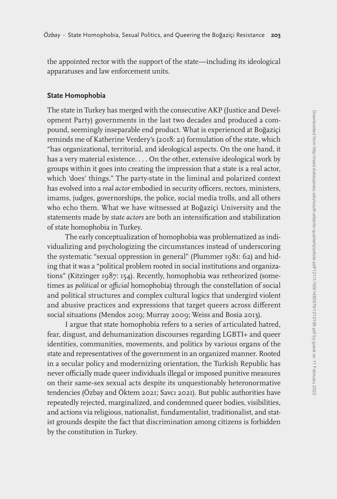the appointed rector with the support of the state—including its ideological apparatuses and law enforcement units.

## **State Homophobia**

The state in Turkey has merged with the consecutive AKP (Justice and Development Party) governments in the last two decades and produced a compound, seemingly inseparable end product. What is experienced at Boğaziçi reminds me of Katherine Verdery's (2018: 21) formulation of the state, which "has organizational, territorial, and ideological aspects. On the one hand, it has a very material existence. . . . On the other, extensive ideological work by groups within it goes into creating the impression that a state is a real actor, which 'does' things." The party-state in the liminal and polarized context has evolved into a *real actor* embodied in security officers, rectors, ministers, imams, judges, governorships, the police, social media trolls, and all others who echo them. What we have witnessed at Boğaziçi University and the statements made by *state actors* are both an intensification and stabilization of state homophobia in Turkey.

The early conceptualization of homophobia was problematized as individualizing and psychologizing the circumstances instead of underscoring the systematic "sexual oppression in general" (Plummer 1981: 62) and hiding that it was a "political problem rooted in social institutions and organizations" (Kitzinger 1987: 154). Recently, homophobia was retheorized (sometimes as *political* or *official* homophobia) through the constellation of social and political structures and complex cultural logics that undergird violent and abusive practices and expressions that target queers across different social situations (Mendos 2019; Murray 2009; Weiss and Bosia 2013).

I argue that state homophobia refers to a series of articulated hatred, fear, disgust, and dehumanization discourses regarding LGBTI+ and queer identities, communities, movements, and politics by various organs of the state and representatives of the government in an organized manner. Rooted in a secular policy and modernizing orientation, the Turkish Republic has never officially made queer individuals illegal or imposed punitive measures on their same-sex sexual acts despite its unquestionably heteronormative tendencies (Özbay and Öktem 2021; Savcı 2021). But public authorities have repeatedly rejected, marginalized, and condemned queer bodies, visibilities, and actions via religious, nationalist, fundamentalist, traditionalist, and statist grounds despite the fact that discrimination among citizens is forbidden by the constitution in Turkey.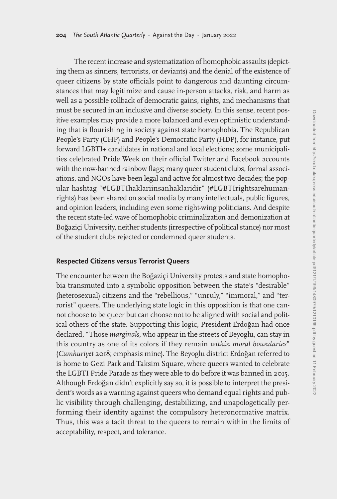The recent increase and systematization of homophobic assaults (depicting them as sinners, terrorists, or deviants) and the denial of the existence of queer citizens by state officials point to dangerous and daunting circumstances that may legitimize and cause in-person attacks, risk, and harm as well as a possible rollback of democratic gains, rights, and mechanisms that must be secured in an inclusive and diverse society. In this sense, recent positive examples may provide a more balanced and even optimistic understanding that is flourishing in society against state homophobia. The Republican People's Party (CHP) and People's Democratic Party (HDP), for instance, put forward LGBTI+ candidates in national and local elections; some municipalities celebrated Pride Week on their official Twitter and Facebook accounts with the now-banned rainbow flags; many queer student clubs, formal associations, and NGOs have been legal and active for almost two decades; the popular hashtag "#LGBTIhaklariinsanhaklaridir" (#LGBTIrightsarehumanrights) has been shared on social media by many intellectuals, public figures, and opinion leaders, including even some right-wing politicians. And despite the recent state-led wave of homophobic criminalization and demonization at Boğaziçi University, neither students (irrespective of political stance) nor most of the student clubs rejected or condemned queer students.

#### **Respected Citizens versus Terrorist Queers**

The encounter between the Boğaziçi University protests and state homophobia transmuted into a symbolic opposition between the state's "desirable" (heterosexual) citizens and the "rebellious," "unruly," "immoral," and "terrorist" queers. The underlying state logic in this opposition is that one cannot choose to be queer but can choose not to be aligned with social and political others of the state. Supporting this logic, President Erdoğan had once declared, "Those *marginals*, who appear in the streets of Beyoglu, can stay in this country as one of its colors if they remain *within moral boundaries*" (*Cumhuriyet* 2018; emphasis mine). The Beyoglu district Erdoğan referred to is home to Gezi Park and Taksim Square, where queers wanted to celebrate the LGBTI Pride Parade as they were able to do before it was banned in 2015. Although Erdoğan didn't explicitly say so, it is possible to interpret the president's words as a warning against queers who demand equal rights and public visibility through challenging, destabilizing, and unapologetically performing their identity against the compulsory heteronormative matrix. Thus, this was a tacit threat to the queers to remain within the limits of acceptability, respect, and tolerance.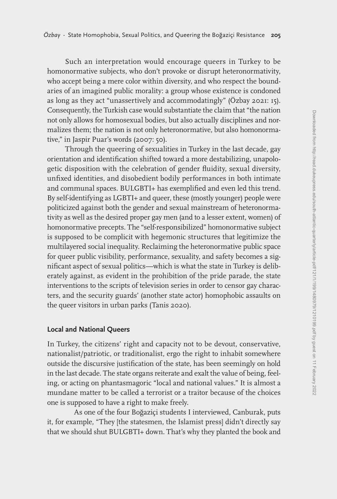Such an interpretation would encourage queers in Turkey to be homonormative subjects, who don't provoke or disrupt heteronormativity, who accept being a mere color within diversity, and who respect the boundaries of an imagined public morality: a group whose existence is condoned as long as they act "unassertively and accommodatingly" (Özbay 2021: 15). Consequently, the Turkish case would substantiate the claim that "the nation not only allows for homosexual bodies, but also actually disciplines and normalizes them; the nation is not only heteronormative, but also homonormative," in Jaspir Puar's words (2007: 50).

Through the queering of sexualities in Turkey in the last decade, gay orientation and identification shifted toward a more destabilizing, unapologetic disposition with the celebration of gender fluidity, sexual diversity, unfixed identities, and disobedient bodily performances in both intimate and communal spaces. BULGBTI+ has exemplified and even led this trend. By self-identifying as LGBTI+ and queer, these (mostly younger) people were politicized against both the gender and sexual mainstream of heteronormativity as well as the desired proper gay men (and to a lesser extent, women) of homonormative precepts. The "self-responsibilized" homonormative subject is supposed to be complicit with hegemonic structures that legitimize the multilayered social inequality. Reclaiming the heteronormative public space for queer public visibility, performance, sexuality, and safety becomes a significant aspect of sexual politics—which is what the state in Turkey is deliberately against, as evident in the prohibition of the pride parade, the state interventions to the scripts of television series in order to censor gay characters, and the security guards' (another state actor) homophobic assaults on the queer visitors in urban parks (Tanis 2020).

## **Local and National Queers**

In Turkey, the citizens' right and capacity not to be devout, conservative, nationalist/patriotic, or traditionalist, ergo the right to inhabit somewhere outside the discursive justification of the state, has been seemingly on hold in the last decade. The state organs reiterate and exalt the value of being, feeling, or acting on phantasmagoric "local and national values." It is almost a mundane matter to be called a terrorist or a traitor because of the choices one is supposed to have a right to make freely.

As one of the four Boğaziçi students I interviewed, Canburak, puts it, for example, "They [the statesmen, the Islamist press] didn't directly say that we should shut BULGBTI+ down. That's why they planted the book and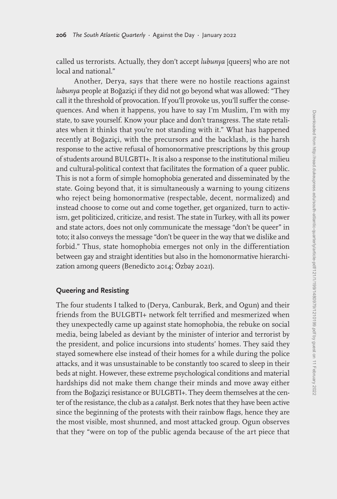called us terrorists. Actually, they don't accept *lubunya* [queers] who are not local and national."

Another, Derya, says that there were no hostile reactions against *lubunya* people at Boğaziçi if they did not go beyond what was allowed: "They call it the threshold of provocation. If you'll provoke us, you'll suffer the consequences. And when it happens, you have to say I'm Muslim, I'm with my state, to save yourself. Know your place and don't transgress. The state retaliates when it thinks that you're not standing with it." What has happened recently at Boğaziçi, with the precursors and the backlash, is the harsh response to the active refusal of homonormative prescriptions by this group of students around BULGBTI+. It is also a response to the institutional milieu and cultural-political context that facilitates the formation of a queer public. This is not a form of simple homophobia generated and disseminated by the state. Going beyond that, it is simultaneously a warning to young citizens who reject being homonormative (respectable, decent, normalized) and instead choose to come out and come together, get organized, turn to activism, get politicized, criticize, and resist. The state in Turkey, with all its power and state actors, does not only communicate the message "don't be queer" in toto; it also conveys the message "don't be queer in the way that we dislike and forbid." Thus, state homophobia emerges not only in the differentiation between gay and straight identities but also in the homonormative hierarchization among queers (Benedicto 2014; Özbay 2021).

## **Queering and Resisting**

The four students I talked to (Derya, Canburak, Berk, and Ogun) and their friends from the BULGBTI+ network felt terrified and mesmerized when they unexpectedly came up against state homophobia, the rebuke on social media, being labeled as deviant by the minister of interior and terrorist by the president, and police incursions into students' homes. They said they stayed somewhere else instead of their homes for a while during the police attacks, and it was unsustainable to be constantly too scared to sleep in their beds at night. However, these extreme psychological conditions and material hardships did not make them change their minds and move away either from the Boğaziçi resistance or BULGBTI+. They deem themselves at the center of the resistance, the club as a *catalyst*. Berk notes that they have been active since the beginning of the protests with their rainbow flags, hence they are the most visible, most shunned, and most attacked group. Ogun observes that they "were on top of the public agenda because of the art piece that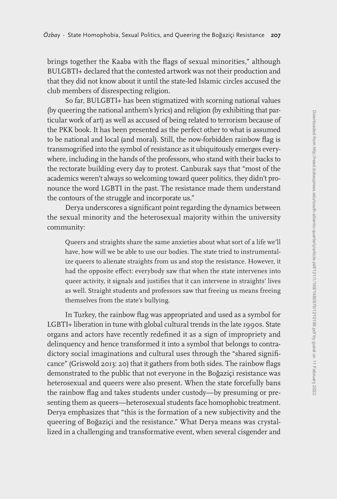brings together the Kaaba with the flags of sexual minorities," although BULGBTI+ declared that the contested artwork was not their production and that they did not know about it until the state-led Islamic circles accused the club members of disrespecting religion.

So far, BULGBTI+ has been stigmatized with scorning national values (by queering the national anthem's lyrics) and religion (by exhibiting that particular work of art) as well as accused of being related to terrorism because of the PKK book. It has been presented as the perfect other to what is assumed to be national and local (and moral). Still, the now-forbidden rainbow flag is transmogrified into the symbol of resistance as it ubiquitously emerges everywhere, including in the hands of the professors, who stand with their backs to the rectorate building every day to protest. Canburak says that "most of the academics weren't always so welcoming toward queer politics, they didn't pronounce the word LGBTI in the past. The resistance made them understand the contours of the struggle and incorporate us."

Derya underscores a significant point regarding the dynamics between the sexual minority and the heterosexual majority within the university community:

Queers and straights share the same anxieties about what sort of a life we'll have, how will we be able to use our bodies. The state tried to instrumentalize queers to alienate straights from us and stop the resistance. However, it had the opposite effect: everybody saw that when the state intervenes into queer activity, it signals and justifies that it can intervene in straights' lives as well. Straight students and professors saw that freeing us means freeing themselves from the state's bullying.

In Turkey, the rainbow flag was appropriated and used as a symbol for LGBTI+ liberation in tune with global cultural trends in the late 1990s. State organs and actors have recently redefined it as a sign of impropriety and delinquency and hence transformed it into a symbol that belongs to contradictory social imaginations and cultural uses through the "shared significance" (Griswold 2013: 20) that it gathers from both sides. The rainbow flags demonstrated to the public that not everyone in the Boğaziçi resistance was heterosexual and queers were also present. When the state forcefully bans the rainbow flag and takes students under custody—by presuming or presenting them as queers—heterosexual students face homophobic treatment. Derya emphasizes that "this is the formation of a new subjectivity and the queering of Boğaziçi and the resistance." What Derya means was crystallized in a challenging and transformative event, when several cisgender and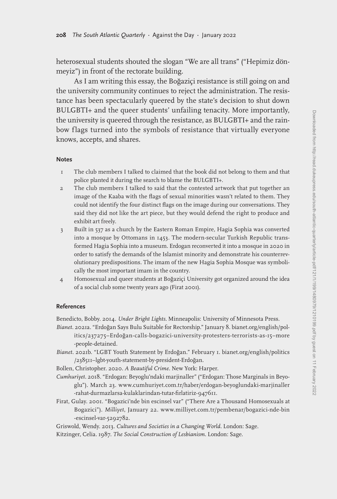heterosexual students shouted the slogan "We are all trans" ("Hepimiz dönmeyiz") in front of the rectorate building.

As I am writing this essay, the Boğaziçi resistance is still going on and the university community continues to reject the administration. The resistance has been spectacularly queered by the state's decision to shut down BULGBTI+ and the queer students' unfailing tenacity. More importantly, the university is queered through the resistance, as BULGBTI+ and the rainbow flags turned into the symbols of resistance that virtually everyone knows, accepts, and shares.

#### **Notes**

- 1 The club members I talked to claimed that the book did not belong to them and that police planted it during the search to blame the BULGBTI+.
- 2 The club members I talked to said that the contested artwork that put together an image of the Kaaba with the flags of sexual minorities wasn't related to them. They could not identify the four distinct flags on the image during our conversations. They said they did not like the art piece, but they would defend the right to produce and exhibit art freely.
- 3 Built in 537 as a church by the Eastern Roman Empire, Hagia Sophia was converted into a mosque by Ottomans in 1453. The modern-secular Turkish Republic transformed Hagia Sophia into a museum. Erdogan reconverted it into a mosque in 2020 in order to satisfy the demands of the Islamist minority and demonstrate his counterrevolutionary predispositions. The imam of the new Hagia Sophia Mosque was symbolically the most important imam in the country.
- 4 Homosexual and queer students at Boğaziçi University got organized around the idea of a social club some twenty years ago (Firat 2001).

#### **References**

Benedicto, Bobby. 2014. *Under Bright Lights*. Minneapolis: University of Minnesota Press.

- *Bianet*. 2021a. "Erdoğan Says Bulu Suitable for Rectorship." January 8. bianet.org/english/politics/237275–Erdoğan-calls-bogazici-university-protesters-terrorists-as-15–more -people-detained.
- *Bianet*. 2021b. "LGBT Youth Statement by Erdoğan." February 1. bianet.org/english/politics /238511–lgbt-youth-statement-by-president-Erdoğan.
- Bollen, Christopher. 2020. *A Beautiful Crime*. New York: Harper.
- *Cumhuriyet*. 2018. "Erdogan: Beyoglu'ndaki marjinaller" ("Erdogan: Those Marginals in Beyoglu"). March 23. www.cumhuriyet.com.tr/haber/erdogan-beyoglundaki-marjinaller -rahat-durmazlarsa-kulaklarindan-tutar-firlatiriz-947611.
- Firat, Gulay. 2001. "Bogazici'nde bin escinsel var" ("There Are a Thousand Homosexuals at Bogazici"). *Milliyet*, January 22. www.milliyet.com.tr/pembenar/bogazici-nde-bin -escinsel-var-5292782.

Griswold, Wendy. 2013. *Cultures and Societies in a Changing World*. London: Sage.

Kitzinger, Celia. 1987. *The Social Construction of Lesbianism*. London: Sage.